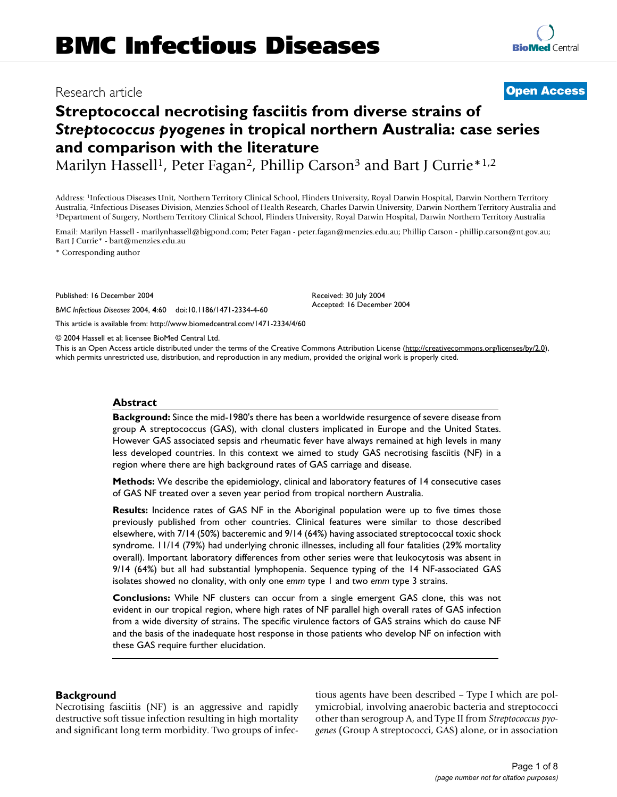# Research article **[Open Access](http://www.biomedcentral.com/info/about/charter/)**

**[BioMed](http://www.biomedcentral.com/)** Central

# **Streptococcal necrotising fasciitis from diverse strains of**  *Streptococcus pyogenes* **in tropical northern Australia: case series and comparison with the literature**

Marilyn Hassell<sup>1</sup>, Peter Fagan<sup>2</sup>, Phillip Carson<sup>3</sup> and Bart J Currie<sup>\*1,2</sup>

Address: 1Infectious Diseases Unit, Northern Territory Clinical School, Flinders University, Royal Darwin Hospital, Darwin Northern Territory Australia, <sup>2</sup>Infectious Diseases Division, Menzies School of Health Research, Charles Darwin University, Darwin Northern Territory Australia and<br><sup>3</sup>Department of Surgery, Northern Territory Clinical School, Flinders Unive

Email: Marilyn Hassell - marilynhassell@bigpond.com; Peter Fagan - peter.fagan@menzies.edu.au; Phillip Carson - phillip.carson@nt.gov.au; Bart J Currie\* - bart@menzies.edu.au

> Received: 30 July 2004 Accepted: 16 December 2004

\* Corresponding author

Published: 16 December 2004

*BMC Infectious Diseases* 2004, **4**:60 doi:10.1186/1471-2334-4-60

[This article is available from: http://www.biomedcentral.com/1471-2334/4/60](http://www.biomedcentral.com/1471-2334/4/60)

© 2004 Hassell et al; licensee BioMed Central Ltd.

This is an Open Access article distributed under the terms of the Creative Commons Attribution License [\(http://creativecommons.org/licenses/by/2.0\)](http://creativecommons.org/licenses/by/2.0), which permits unrestricted use, distribution, and reproduction in any medium, provided the original work is properly cited.

#### **Abstract**

**Background:** Since the mid-1980's there has been a worldwide resurgence of severe disease from group A streptococcus (GAS), with clonal clusters implicated in Europe and the United States. However GAS associated sepsis and rheumatic fever have always remained at high levels in many less developed countries. In this context we aimed to study GAS necrotising fasciitis (NF) in a region where there are high background rates of GAS carriage and disease.

**Methods:** We describe the epidemiology, clinical and laboratory features of 14 consecutive cases of GAS NF treated over a seven year period from tropical northern Australia.

**Results:** Incidence rates of GAS NF in the Aboriginal population were up to five times those previously published from other countries. Clinical features were similar to those described elsewhere, with 7/14 (50%) bacteremic and 9/14 (64%) having associated streptococcal toxic shock syndrome. 11/14 (79%) had underlying chronic illnesses, including all four fatalities (29% mortality overall). Important laboratory differences from other series were that leukocytosis was absent in 9/14 (64%) but all had substantial lymphopenia. Sequence typing of the 14 NF-associated GAS isolates showed no clonality, with only one *emm* type 1 and two *emm* type 3 strains.

**Conclusions:** While NF clusters can occur from a single emergent GAS clone, this was not evident in our tropical region, where high rates of NF parallel high overall rates of GAS infection from a wide diversity of strains. The specific virulence factors of GAS strains which do cause NF and the basis of the inadequate host response in those patients who develop NF on infection with these GAS require further elucidation.

#### **Background**

Necrotising fasciitis (NF) is an aggressive and rapidly destructive soft tissue infection resulting in high mortality and significant long term morbidity. Two groups of infectious agents have been described – Type I which are polymicrobial, involving anaerobic bacteria and streptococci other than serogroup A, and Type II from *Streptococcus pyogenes* (Group A streptococci, GAS) alone, or in association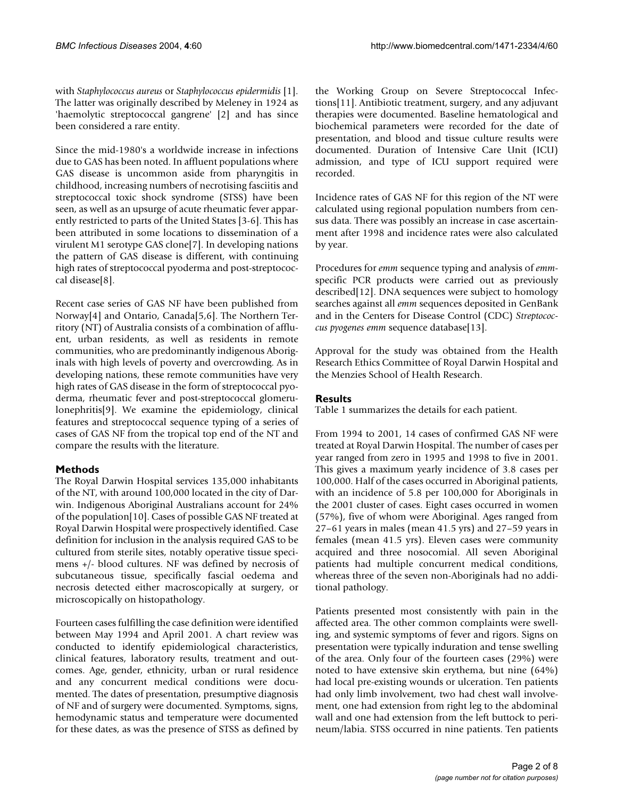with *Staphylococcus aureus* or *Staphylococcus epidermidis* [1]. The latter was originally described by Meleney in 1924 as 'haemolytic streptococcal gangrene' [2] and has since been considered a rare entity.

Since the mid-1980's a worldwide increase in infections due to GAS has been noted. In affluent populations where GAS disease is uncommon aside from pharyngitis in childhood, increasing numbers of necrotising fasciitis and streptococcal toxic shock syndrome (STSS) have been seen, as well as an upsurge of acute rheumatic fever apparently restricted to parts of the United States [3-6]. This has been attributed in some locations to dissemination of a virulent M1 serotype GAS clone[7]. In developing nations the pattern of GAS disease is different, with continuing high rates of streptococcal pyoderma and post-streptococcal disease[8].

Recent case series of GAS NF have been published from Norway[4] and Ontario, Canada[5,6]. The Northern Territory (NT) of Australia consists of a combination of affluent, urban residents, as well as residents in remote communities, who are predominantly indigenous Aboriginals with high levels of poverty and overcrowding. As in developing nations, these remote communities have very high rates of GAS disease in the form of streptococcal pyoderma, rheumatic fever and post-streptococcal glomerulonephritis[9]. We examine the epidemiology, clinical features and streptococcal sequence typing of a series of cases of GAS NF from the tropical top end of the NT and compare the results with the literature.

### **Methods**

The Royal Darwin Hospital services 135,000 inhabitants of the NT, with around 100,000 located in the city of Darwin. Indigenous Aboriginal Australians account for 24% of the population[10]. Cases of possible GAS NF treated at Royal Darwin Hospital were prospectively identified. Case definition for inclusion in the analysis required GAS to be cultured from sterile sites, notably operative tissue specimens +/- blood cultures. NF was defined by necrosis of subcutaneous tissue, specifically fascial oedema and necrosis detected either macroscopically at surgery, or microscopically on histopathology.

Fourteen cases fulfilling the case definition were identified between May 1994 and April 2001. A chart review was conducted to identify epidemiological characteristics, clinical features, laboratory results, treatment and outcomes. Age, gender, ethnicity, urban or rural residence and any concurrent medical conditions were documented. The dates of presentation, presumptive diagnosis of NF and of surgery were documented. Symptoms, signs, hemodynamic status and temperature were documented for these dates, as was the presence of STSS as defined by the Working Group on Severe Streptococcal Infections[11]. Antibiotic treatment, surgery, and any adjuvant therapies were documented. Baseline hematological and biochemical parameters were recorded for the date of presentation, and blood and tissue culture results were documented. Duration of Intensive Care Unit (ICU) admission, and type of ICU support required were recorded.

Incidence rates of GAS NF for this region of the NT were calculated using regional population numbers from census data. There was possibly an increase in case ascertainment after 1998 and incidence rates were also calculated by year.

Procedures for *emm* sequence typing and analysis of *emm*specific PCR products were carried out as previously described[12]. DNA sequences were subject to homology searches against all *emm* sequences deposited in GenBank and in the Centers for Disease Control (CDC) *Streptococcus pyogenes emm* sequence database[13].

Approval for the study was obtained from the Health Research Ethics Committee of Royal Darwin Hospital and the Menzies School of Health Research.

## **Results**

Table [1](#page-2-0) summarizes the details for each patient.

From 1994 to 2001, 14 cases of confirmed GAS NF were treated at Royal Darwin Hospital. The number of cases per year ranged from zero in 1995 and 1998 to five in 2001. This gives a maximum yearly incidence of 3.8 cases per 100,000. Half of the cases occurred in Aboriginal patients, with an incidence of 5.8 per 100,000 for Aboriginals in the 2001 cluster of cases. Eight cases occurred in women (57%), five of whom were Aboriginal. Ages ranged from 27–61 years in males (mean 41.5 yrs) and 27–59 years in females (mean 41.5 yrs). Eleven cases were community acquired and three nosocomial. All seven Aboriginal patients had multiple concurrent medical conditions, whereas three of the seven non-Aboriginals had no additional pathology.

Patients presented most consistently with pain in the affected area. The other common complaints were swelling, and systemic symptoms of fever and rigors. Signs on presentation were typically induration and tense swelling of the area. Only four of the fourteen cases (29%) were noted to have extensive skin erythema, but nine (64%) had local pre-existing wounds or ulceration. Ten patients had only limb involvement, two had chest wall involvement, one had extension from right leg to the abdominal wall and one had extension from the left buttock to perineum/labia. STSS occurred in nine patients. Ten patients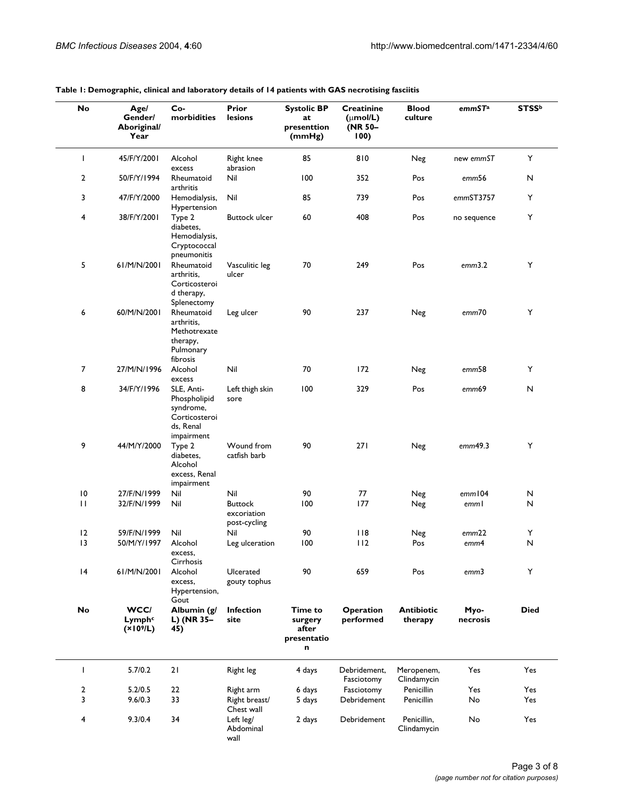| No             | Age/<br>Gender/<br>Aboriginal/<br>Year              | Co-<br>morbidities                                                                  | Prior<br>lesions                              | <b>Systolic BP</b><br>at<br>presenttion<br>(mmHg) | <b>Creatinine</b><br>$(\mu \text{mol/L})$<br>(NR 50-<br>100) | <b>Blood</b><br>culture      | emmSTa            | <b>STSSb</b> |
|----------------|-----------------------------------------------------|-------------------------------------------------------------------------------------|-----------------------------------------------|---------------------------------------------------|--------------------------------------------------------------|------------------------------|-------------------|--------------|
| T              | 45/F/Y/2001                                         | Alcohol<br>excess                                                                   | <b>Right knee</b><br>abrasion                 | 85                                                | 810                                                          | Neg                          | new emmST         | Y            |
| $\overline{2}$ | 50/F/Y/1994                                         | Rheumatoid<br>arthritis                                                             | Nil                                           | 100                                               | 352                                                          | Pos                          | emm56             | N            |
| 3              | 47/F/Y/2000                                         | Hemodialysis,<br>Hypertension                                                       | Nil                                           | 85                                                | 739                                                          | Pos                          | emmST3757         | Y            |
| 4              | 38/F/Y/2001                                         | Type 2<br>diabetes,<br>Hemodialysis,<br>Cryptococcal<br>pneumonitis                 | <b>Buttock ulcer</b>                          | 60                                                | 408                                                          | Pos                          | no sequence       | Υ            |
| 5              | 61/M/N/2001                                         | Rheumatoid<br>arthritis,<br>Corticosteroi<br>d therapy,<br>Splenectomy              | Vasculitic leg<br>ulcer                       | 70                                                | 249                                                          | Pos                          | emm3.2            | Υ            |
| 6              | 60/M/N/2001                                         | Rheumatoid<br>arthritis,<br>Methotrexate<br>therapy,<br>Pulmonary<br>fibrosis       | Leg ulcer                                     | 90                                                | 237                                                          | Neg                          | emm70             | Υ            |
| 7              | 27/M/N/1996                                         | Alcohol<br>excess                                                                   | Nil                                           | 70                                                | 172                                                          | Neg                          | emm <sub>58</sub> | Y            |
| 8              | 34/F/Y/1996                                         | SLE, Anti-<br>Phospholipid<br>syndrome,<br>Corticosteroi<br>ds, Renal<br>impairment | Left thigh skin<br>sore                       | 100                                               | 329                                                          | Pos                          | emm69             | N            |
| 9              | 44/M/Y/2000                                         | Type 2<br>diabetes,<br>Alcohol<br>excess, Renal<br>impairment                       | Wound from<br>catfish barb                    | 90                                                | 271                                                          | Neg                          | emm49.3           | Υ            |
| 10             | 27/F/N/1999                                         | Nil                                                                                 | Nil                                           | 90                                                | 77                                                           | Neg                          | emm104            | N            |
| $\mathbf{H}$   | 32/F/N/1999                                         | Nil                                                                                 | <b>Buttock</b><br>excoriation<br>post-cycling | 100                                               | 177                                                          | Neg                          | emml              | N            |
| 12             | 59/F/N/1999                                         | Nil                                                                                 | Nil                                           | 90                                                | 118                                                          | Neg                          | emm22             | Υ            |
| 13             | 50/M/Y/1997                                         | Alcohol<br>excess,<br>Cirrhosis                                                     | Leg ulceration                                | 100                                               | 112                                                          | Pos                          | emm4              | $\mathsf{N}$ |
| 4              | 61/M/N/2001                                         | Alcohol<br>excess,<br>Hypertension,<br>Gout                                         | Ulcerated<br>gouty tophus                     | 90                                                | 659                                                          | Pos                          | emm3              | Y            |
| No             | WCC/<br>Lymph <sup>c</sup><br>(X10 <sup>9</sup> /L) | Albumin (g/<br>L) (NR 35-<br>45)                                                    | <b>Infection</b><br>site                      | Time to<br>surgery<br>after<br>presentatio<br>n   | <b>Operation</b><br>performed                                | <b>Antibiotic</b><br>therapy | Myo-<br>necrosis  | <b>Died</b>  |
| I              | 5.7/0.2                                             | 21                                                                                  | Right leg                                     | 4 days                                            | Debridement,<br>Fasciotomy                                   | Meropenem,<br>Clindamycin    | Yes               | Yes          |
| $\overline{2}$ | 5.2/0.5                                             | 22                                                                                  | Right arm                                     | 6 days                                            | Fasciotomy                                                   | Penicillin                   | Yes               | Yes          |
| 3              | 9.6/0.3                                             | 33                                                                                  | Right breast/<br>Chest wall                   | 5 days                                            | Debridement                                                  | Penicillin                   | No                | Yes          |
| 4              | 9.3/0.4                                             | 34                                                                                  | Left leg/<br>Abdominal<br>wall                | 2 days                                            | Debridement                                                  | Penicillin,<br>Clindamycin   | No                | Yes          |

#### <span id="page-2-0"></span>**Table 1: Demographic, clinical and laboratory details of 14 patients with GAS necrotising fasciitis**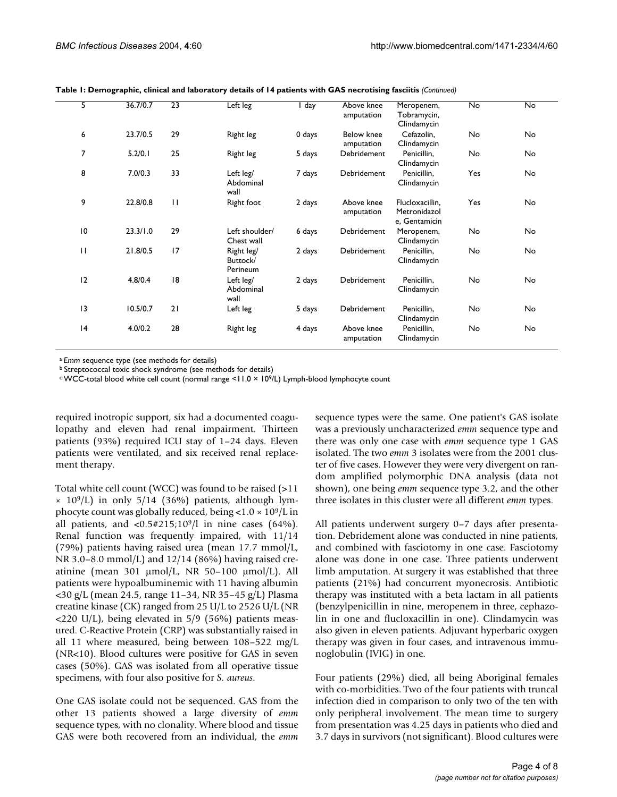| 5               | 36.7/0.7 | $\overline{23}$ | $\overline{\mathsf{Left}}$ leg     | I day  | Above knee<br>amputation | Meropenem,<br>Tobramycin,<br>Clindamycin         | <b>No</b> | No |
|-----------------|----------|-----------------|------------------------------------|--------|--------------------------|--------------------------------------------------|-----------|----|
| 6               | 23.7/0.5 | 29              | Right leg                          | 0 days | Below knee<br>amputation | Cefazolin,<br>Clindamycin                        | No        | No |
| 7               | 5.2/0.1  | 25              | Right leg                          | 5 days | Debridement              | Penicillin,<br>Clindamycin                       | No        | No |
| 8               | 7.0/0.3  | 33              | Left leg/<br>Abdominal<br>wall     | 7 days | Debridement              | Penicillin,<br>Clindamycin                       | Yes       | No |
| 9               | 22.8/0.8 | $\mathbf{H}$    | Right foot                         | 2 days | Above knee<br>amputation | Flucloxacillin,<br>Metronidazol<br>e, Gentamicin | Yes       | No |
| $\overline{10}$ | 23.3/1.0 | 29              | Left shoulder/<br>Chest wall       | 6 days | Debridement              | Meropenem,<br>Clindamycin                        | No        | No |
| $\mathbf{H}$    | 21.8/0.5 | 17              | Right leg/<br>Buttock/<br>Perineum | 2 days | Debridement              | Penicillin,<br>Clindamycin                       | No        | No |
| 12              | 4.8/0.4  | 8               | Left leg/<br>Abdominal<br>wall     | 2 days | Debridement              | Penicillin,<br>Clindamycin                       | No        | No |
| 13              | 10.5/0.7 | 21              | Left leg                           | 5 days | Debridement              | Penicillin,<br>Clindamycin                       | No        | No |
| 4               | 4.0/0.2  | 28              | Right leg                          | 4 days | Above knee<br>amputation | Penicillin,<br>Clindamycin                       | No        | No |
|                 |          |                 |                                    |        |                          |                                                  |           |    |

**Table 1: Demographic, clinical and laboratory details of 14 patients with GAS necrotising fasciitis** *(Continued)*

<sup>a</sup>*Emm* sequence type (see methods for details)

b Streptococcal toxic shock syndrome (see methods for details)

c WCC-total blood white cell count (normal range <11.0 × 109/L) Lymph-blood lymphocyte count

required inotropic support, six had a documented coagulopathy and eleven had renal impairment. Thirteen patients (93%) required ICU stay of 1–24 days. Eleven patients were ventilated, and six received renal replacement therapy.

Total white cell count (WCC) was found to be raised (>11  $\times$  10<sup>9</sup>/L) in only 5/14 (36%) patients, although lymphocyte count was globally reduced, being  $< 1.0 \times 10^9/L$  in all patients, and  $\langle 0.5 \# 215 \rangle 10^9$  in nine cases (64%). Renal function was frequently impaired, with 11/14 (79%) patients having raised urea (mean 17.7 mmol/L, NR 3.0–8.0 mmol/L) and 12/14 (86%) having raised creatinine (mean 301 µmol/L, NR 50–100 µmol/L). All patients were hypoalbuminemic with 11 having albumin <30 g/L (mean 24.5, range 11–34, NR 35–45 g/L) Plasma creatine kinase (CK) ranged from 25 U/L to 2526 U/L (NR  $\langle 220 \text{ U/L} \rangle$ , being elevated in 5/9 (56%) patients measured. C-Reactive Protein (CRP) was substantially raised in all 11 where measured, being between 108–522 mg/L (NR<10). Blood cultures were positive for GAS in seven cases (50%). GAS was isolated from all operative tissue specimens, with four also positive for *S. aureus*.

One GAS isolate could not be sequenced. GAS from the other 13 patients showed a large diversity of *emm* sequence types, with no clonality. Where blood and tissue GAS were both recovered from an individual, the *emm*

sequence types were the same. One patient's GAS isolate was a previously uncharacterized *emm* sequence type and there was only one case with *emm* sequence type 1 GAS isolated. The two *emm* 3 isolates were from the 2001 cluster of five cases. However they were very divergent on random amplified polymorphic DNA analysis (data not shown), one being *emm* sequence type 3.2, and the other three isolates in this cluster were all different *emm* types.

All patients underwent surgery 0–7 days after presentation. Debridement alone was conducted in nine patients, and combined with fasciotomy in one case. Fasciotomy alone was done in one case. Three patients underwent limb amputation. At surgery it was established that three patients (21%) had concurrent myonecrosis. Antibiotic therapy was instituted with a beta lactam in all patients (benzylpenicillin in nine, meropenem in three, cephazolin in one and flucloxacillin in one). Clindamycin was also given in eleven patients. Adjuvant hyperbaric oxygen therapy was given in four cases, and intravenous immunoglobulin (IVIG) in one.

Four patients (29%) died, all being Aboriginal females with co-morbidities. Two of the four patients with truncal infection died in comparison to only two of the ten with only peripheral involvement. The mean time to surgery from presentation was 4.25 days in patients who died and 3.7 days in survivors (not significant). Blood cultures were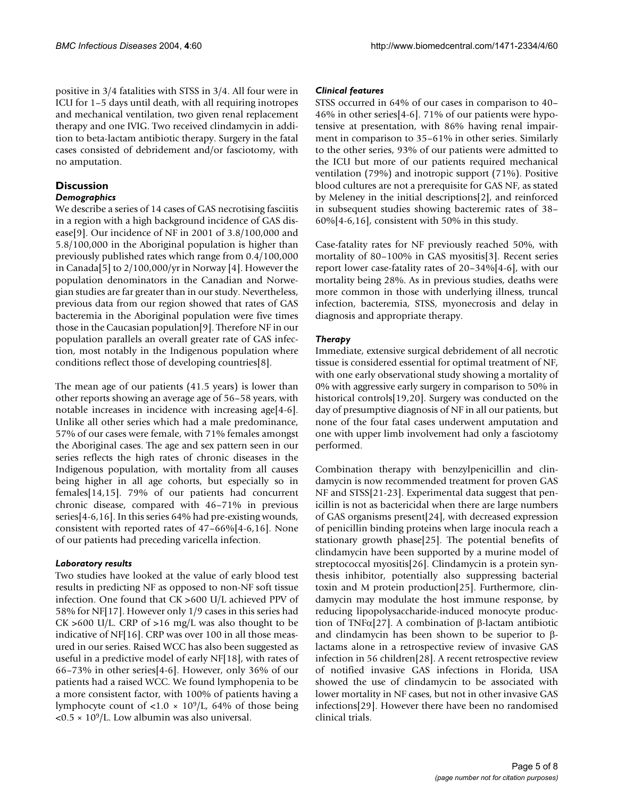positive in 3/4 fatalities with STSS in 3/4. All four were in ICU for 1–5 days until death, with all requiring inotropes and mechanical ventilation, two given renal replacement therapy and one IVIG. Two received clindamycin in addition to beta-lactam antibiotic therapy. Surgery in the fatal cases consisted of debridement and/or fasciotomy, with no amputation.

# **Discussion**

## *Demographics*

We describe a series of 14 cases of GAS necrotising fasciitis in a region with a high background incidence of GAS disease[9]. Our incidence of NF in 2001 of 3.8/100,000 and 5.8/100,000 in the Aboriginal population is higher than previously published rates which range from 0.4/100,000 in Canada[5] to 2/100,000/yr in Norway [4]. However the population denominators in the Canadian and Norwegian studies are far greater than in our study. Nevertheless, previous data from our region showed that rates of GAS bacteremia in the Aboriginal population were five times those in the Caucasian population[9]. Therefore NF in our population parallels an overall greater rate of GAS infection, most notably in the Indigenous population where conditions reflect those of developing countries[8].

The mean age of our patients (41.5 years) is lower than other reports showing an average age of 56–58 years, with notable increases in incidence with increasing age[4-6]. Unlike all other series which had a male predominance, 57% of our cases were female, with 71% females amongst the Aboriginal cases. The age and sex pattern seen in our series reflects the high rates of chronic diseases in the Indigenous population, with mortality from all causes being higher in all age cohorts, but especially so in females[14,15]. 79% of our patients had concurrent chronic disease, compared with 46–71% in previous series[4-6,16]. In this series 64% had pre-existing wounds, consistent with reported rates of 47–66%[4-6,16]. None of our patients had preceding varicella infection.

## *Laboratory results*

Two studies have looked at the value of early blood test results in predicting NF as opposed to non-NF soft tissue infection. One found that CK >600 U/L achieved PPV of 58% for NF[17]. However only 1/9 cases in this series had  $CK > 600$  U/L. CRP of  $> 16$  mg/L was also thought to be indicative of NF[16]. CRP was over 100 in all those measured in our series. Raised WCC has also been suggested as useful in a predictive model of early NF[18], with rates of 66–73% in other series[4-6]. However, only 36% of our patients had a raised WCC. We found lymphopenia to be a more consistent factor, with 100% of patients having a lymphocyte count of <1.0  $\times$  10<sup>9</sup>/L, 64% of those being  $\langle 0.5 \times 10^9 \rangle$ L. Low albumin was also universal.

## *Clinical features*

STSS occurred in 64% of our cases in comparison to 40– 46% in other series[4-6]. 71% of our patients were hypotensive at presentation, with 86% having renal impairment in comparison to 35–61% in other series. Similarly to the other series, 93% of our patients were admitted to the ICU but more of our patients required mechanical ventilation (79%) and inotropic support (71%). Positive blood cultures are not a prerequisite for GAS NF, as stated by Meleney in the initial descriptions[2], and reinforced in subsequent studies showing bacteremic rates of 38– 60%[4-6,16], consistent with 50% in this study.

Case-fatality rates for NF previously reached 50%, with mortality of 80–100% in GAS myositis[3]. Recent series report lower case-fatality rates of 20–34%[4-6], with our mortality being 28%. As in previous studies, deaths were more common in those with underlying illness, truncal infection, bacteremia, STSS, myonecrosis and delay in diagnosis and appropriate therapy.

## *Therapy*

Immediate, extensive surgical debridement of all necrotic tissue is considered essential for optimal treatment of NF, with one early observational study showing a mortality of 0% with aggressive early surgery in comparison to 50% in historical controls[19,20]. Surgery was conducted on the day of presumptive diagnosis of NF in all our patients, but none of the four fatal cases underwent amputation and one with upper limb involvement had only a fasciotomy performed.

Combination therapy with benzylpenicillin and clindamycin is now recommended treatment for proven GAS NF and STSS[21-23]. Experimental data suggest that penicillin is not as bactericidal when there are large numbers of GAS organisms present[24], with decreased expression of penicillin binding proteins when large inocula reach a stationary growth phase[25]. The potential benefits of clindamycin have been supported by a murine model of streptococcal myositis[26]. Clindamycin is a protein synthesis inhibitor, potentially also suppressing bacterial toxin and M protein production[25]. Furthermore, clindamycin may modulate the host immune response, by reducing lipopolysaccharide-induced monocyte production of TNFα[27]. A combination of β-lactam antibiotic and clindamycin has been shown to be superior to βlactams alone in a retrospective review of invasive GAS infection in 56 children[28]. A recent retrospective review of notified invasive GAS infections in Florida, USA showed the use of clindamycin to be associated with lower mortality in NF cases, but not in other invasive GAS infections[29]. However there have been no randomised clinical trials.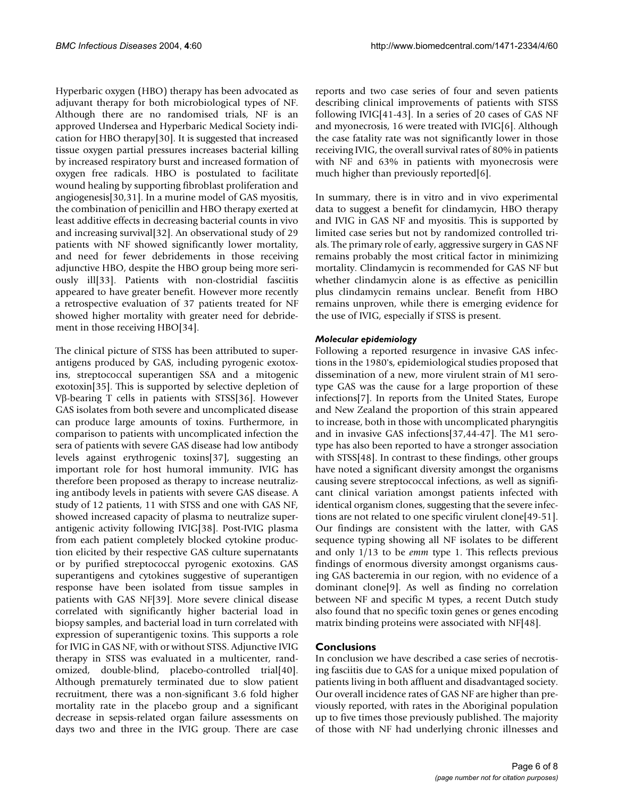Hyperbaric oxygen (HBO) therapy has been advocated as adjuvant therapy for both microbiological types of NF. Although there are no randomised trials, NF is an approved Undersea and Hyperbaric Medical Society indication for HBO therapy[30]. It is suggested that increased tissue oxygen partial pressures increases bacterial killing by increased respiratory burst and increased formation of oxygen free radicals. HBO is postulated to facilitate wound healing by supporting fibroblast proliferation and angiogenesis[30,31]. In a murine model of GAS myositis, the combination of penicillin and HBO therapy exerted at least additive effects in decreasing bacterial counts in vivo and increasing survival[32]. An observational study of 29 patients with NF showed significantly lower mortality, and need for fewer debridements in those receiving adjunctive HBO, despite the HBO group being more seriously ill[33]. Patients with non-clostridial fasciitis appeared to have greater benefit. However more recently a retrospective evaluation of 37 patients treated for NF showed higher mortality with greater need for debridement in those receiving HBO[34].

The clinical picture of STSS has been attributed to superantigens produced by GAS, including pyrogenic exotoxins, streptococcal superantigen SSA and a mitogenic exotoxin[35]. This is supported by selective depletion of Vβ-bearing T cells in patients with STSS[36]. However GAS isolates from both severe and uncomplicated disease can produce large amounts of toxins. Furthermore, in comparison to patients with uncomplicated infection the sera of patients with severe GAS disease had low antibody levels against erythrogenic toxins[37], suggesting an important role for host humoral immunity. IVIG has therefore been proposed as therapy to increase neutralizing antibody levels in patients with severe GAS disease. A study of 12 patients, 11 with STSS and one with GAS NF, showed increased capacity of plasma to neutralize superantigenic activity following IVIG[38]. Post-IVIG plasma from each patient completely blocked cytokine production elicited by their respective GAS culture supernatants or by purified streptococcal pyrogenic exotoxins. GAS superantigens and cytokines suggestive of superantigen response have been isolated from tissue samples in patients with GAS NF[39]. More severe clinical disease correlated with significantly higher bacterial load in biopsy samples, and bacterial load in turn correlated with expression of superantigenic toxins. This supports a role for IVIG in GAS NF, with or without STSS. Adjunctive IVIG therapy in STSS was evaluated in a multicenter, randomized, double-blind, placebo-controlled trial[40]. Although prematurely terminated due to slow patient recruitment, there was a non-significant 3.6 fold higher mortality rate in the placebo group and a significant decrease in sepsis-related organ failure assessments on days two and three in the IVIG group. There are case reports and two case series of four and seven patients describing clinical improvements of patients with STSS following IVIG[41-43]. In a series of 20 cases of GAS NF and myonecrosis, 16 were treated with IVIG[6]. Although the case fatality rate was not significantly lower in those receiving IVIG, the overall survival rates of 80% in patients with NF and 63% in patients with myonecrosis were much higher than previously reported[6].

In summary, there is in vitro and in vivo experimental data to suggest a benefit for clindamycin, HBO therapy and IVIG in GAS NF and myositis. This is supported by limited case series but not by randomized controlled trials. The primary role of early, aggressive surgery in GAS NF remains probably the most critical factor in minimizing mortality. Clindamycin is recommended for GAS NF but whether clindamycin alone is as effective as penicillin plus clindamycin remains unclear. Benefit from HBO remains unproven, while there is emerging evidence for the use of IVIG, especially if STSS is present.

## *Molecular epidemiology*

Following a reported resurgence in invasive GAS infections in the 1980's, epidemiological studies proposed that dissemination of a new, more virulent strain of M1 serotype GAS was the cause for a large proportion of these infections[7]. In reports from the United States, Europe and New Zealand the proportion of this strain appeared to increase, both in those with uncomplicated pharyngitis and in invasive GAS infections[37,44-47]. The M1 serotype has also been reported to have a stronger association with STSS[48]. In contrast to these findings, other groups have noted a significant diversity amongst the organisms causing severe streptococcal infections, as well as significant clinical variation amongst patients infected with identical organism clones, suggesting that the severe infections are not related to one specific virulent clone[49-51]. Our findings are consistent with the latter, with GAS sequence typing showing all NF isolates to be different and only 1/13 to be *emm* type 1. This reflects previous findings of enormous diversity amongst organisms causing GAS bacteremia in our region, with no evidence of a dominant clone[9]. As well as finding no correlation between NF and specific M types, a recent Dutch study also found that no specific toxin genes or genes encoding matrix binding proteins were associated with NF[48].

## **Conclusions**

In conclusion we have described a case series of necrotising fasciitis due to GAS for a unique mixed population of patients living in both affluent and disadvantaged society. Our overall incidence rates of GAS NF are higher than previously reported, with rates in the Aboriginal population up to five times those previously published. The majority of those with NF had underlying chronic illnesses and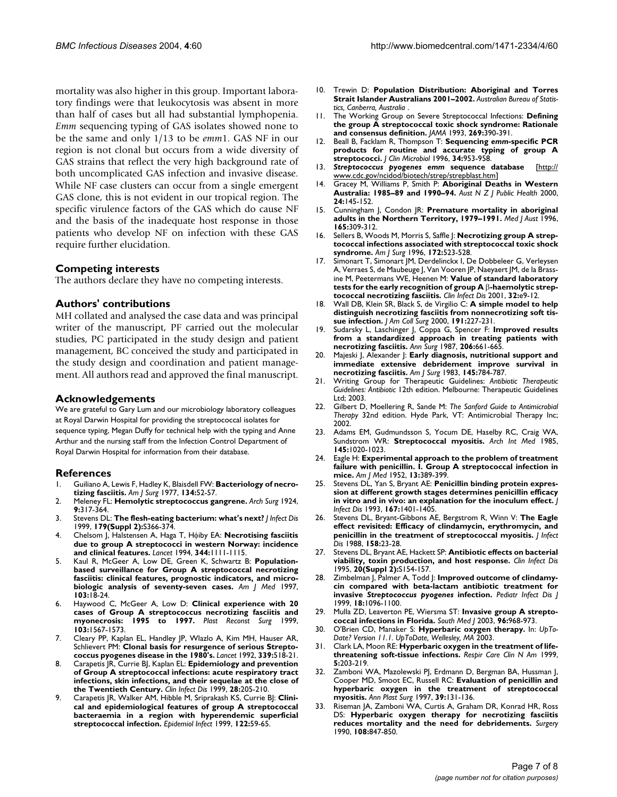mortality was also higher in this group. Important laboratory findings were that leukocytosis was absent in more than half of cases but all had substantial lymphopenia. *Emm* sequencing typing of GAS isolates showed none to be the same and only 1/13 to be *emm*1. GAS NF in our region is not clonal but occurs from a wide diversity of GAS strains that reflect the very high background rate of both uncomplicated GAS infection and invasive disease. While NF case clusters can occur from a single emergent GAS clone, this is not evident in our tropical region. The specific virulence factors of the GAS which do cause NF and the basis of the inadequate host response in those patients who develop NF on infection with these GAS require further elucidation.

#### **Competing interests**

The authors declare they have no competing interests.

#### **Authors' contributions**

MH collated and analysed the case data and was principal writer of the manuscript, PF carried out the molecular studies, PC participated in the study design and patient management, BC conceived the study and participated in the study design and coordination and patient management. All authors read and approved the final manuscript.

#### **Acknowledgements**

We are grateful to Gary Lum and our microbiology laboratory colleagues at Royal Darwin Hospital for providing the streptococcal isolates for sequence typing, Megan Duffy for technical help with the typing and Anne Arthur and the nursing staff from the Infection Control Department of Royal Darwin Hospital for information from their database.

#### **References**

- 1. Guiliano A, Lewis F, Hadley K, Blaisdell FW: **[Bacteriology of necro](http://www.ncbi.nlm.nih.gov/entrez/query.fcgi?cmd=Retrieve&db=PubMed&dopt=Abstract&list_uids=327844)[tizing fasciitis.](http://www.ncbi.nlm.nih.gov/entrez/query.fcgi?cmd=Retrieve&db=PubMed&dopt=Abstract&list_uids=327844)** *Am J Surg* 1977, **134:**52-57.
- 2. Meleney FL: **Hemolytic streptococcus gangrene.** *Arch Surg* 1924, **9:**317-364.
- 3. Stevens DL: **[The flesh-eating bacterium: what's next?](http://www.ncbi.nlm.nih.gov/entrez/query.fcgi?cmd=Retrieve&db=PubMed&dopt=Abstract&list_uids=10081509)** *J Infect Dis* 1999, **179(Suppl 2):**S366-374.
- 4. Chelsom J, Halstensen A, Haga T, Hφiby EA: **[Necrotising fasciitis](http://www.ncbi.nlm.nih.gov/entrez/query.fcgi?cmd=Retrieve&db=PubMed&dopt=Abstract&list_uids=7934492) [due to group A streptococci in western Norway: incidence](http://www.ncbi.nlm.nih.gov/entrez/query.fcgi?cmd=Retrieve&db=PubMed&dopt=Abstract&list_uids=7934492) [and clinical features.](http://www.ncbi.nlm.nih.gov/entrez/query.fcgi?cmd=Retrieve&db=PubMed&dopt=Abstract&list_uids=7934492)** *Lancet* 1994, **344:**1111-1115.
- 5. Kaul R, McGeer A, Low DE, Green K, Schwartz B: **[Population](http://www.ncbi.nlm.nih.gov/entrez/query.fcgi?cmd=Retrieve&db=PubMed&dopt=Abstract&list_uids=9236481)based surveillance for Group A streptococcal necrotizing [fasciitis: clinical features, prognostic indicators, and micro](http://www.ncbi.nlm.nih.gov/entrez/query.fcgi?cmd=Retrieve&db=PubMed&dopt=Abstract&list_uids=9236481)[biologic analysis of seventy-seven cases.](http://www.ncbi.nlm.nih.gov/entrez/query.fcgi?cmd=Retrieve&db=PubMed&dopt=Abstract&list_uids=9236481)** *Am J Med* 1997, **103:**18-24.
- 6. Haywood C, McGeer A, Low D: **[Clinical experience with 20](http://www.ncbi.nlm.nih.gov/entrez/query.fcgi?cmd=Retrieve&db=PubMed&dopt=Abstract&list_uids=10323689) [cases of Group A streptococcus necrotizing fasciitis and](http://www.ncbi.nlm.nih.gov/entrez/query.fcgi?cmd=Retrieve&db=PubMed&dopt=Abstract&list_uids=10323689) [myonecrosis: 1995 to 1997.](http://www.ncbi.nlm.nih.gov/entrez/query.fcgi?cmd=Retrieve&db=PubMed&dopt=Abstract&list_uids=10323689)** *Plast Reconst Surg* 1999, **103:**1567-1573.
- 7. Cleary PP, Kaplan EL, Handley JP, Wlazlo A, Kim MH, Hauser AR, Schlievert PM: **[Clonal basis for resurgence of serious Strepto](http://www.ncbi.nlm.nih.gov/entrez/query.fcgi?cmd=Retrieve&db=PubMed&dopt=Abstract&list_uids=1346879)[coccus pyogenes disease in the 1980's.](http://www.ncbi.nlm.nih.gov/entrez/query.fcgi?cmd=Retrieve&db=PubMed&dopt=Abstract&list_uids=1346879)** *Lancet* 1992, **339:**518-21.
- 8. Carapetis JR, Currie BJ, Kaplan EL: **[Epidemiology and prevention](http://www.ncbi.nlm.nih.gov/entrez/query.fcgi?cmd=Retrieve&db=PubMed&dopt=Abstract&list_uids=10064227) of Group A streptococcal infections: acute respiratory tract [infections, skin infections, and their sequelae at the close of](http://www.ncbi.nlm.nih.gov/entrez/query.fcgi?cmd=Retrieve&db=PubMed&dopt=Abstract&list_uids=10064227) [the Twentieth Century.](http://www.ncbi.nlm.nih.gov/entrez/query.fcgi?cmd=Retrieve&db=PubMed&dopt=Abstract&list_uids=10064227)** *Clin Infect Dis* 1999, **28:**205-210.
- 9. Carapetis JR, Walker AM, Hibble M, Sriprakash KS, Currie BJ: **[Clini](http://www.ncbi.nlm.nih.gov/entrez/query.fcgi?cmd=Retrieve&db=PubMed&dopt=Abstract&list_uids=10098786)cal and epidemiological features of group A streptococcal [bacteraemia in a region with hyperendemic superficial](http://www.ncbi.nlm.nih.gov/entrez/query.fcgi?cmd=Retrieve&db=PubMed&dopt=Abstract&list_uids=10098786) [streptococcal infection.](http://www.ncbi.nlm.nih.gov/entrez/query.fcgi?cmd=Retrieve&db=PubMed&dopt=Abstract&list_uids=10098786)** *Epidemiol Infect* 1999, **122:**59-65.
- 10. Trewin D: **Population Distribution: Aboriginal and Torres Strait Islander Australians 2001–2002.** *Australian Bureau of Statistics, Canberra, Australia* .
- 11. The Working Group on Severe Streptococcal Infections: **[Defining](http://www.ncbi.nlm.nih.gov/entrez/query.fcgi?cmd=Retrieve&db=PubMed&dopt=Abstract&list_uids=8418347) [the group A streptococcal toxic shock syndrome: Rationale](http://www.ncbi.nlm.nih.gov/entrez/query.fcgi?cmd=Retrieve&db=PubMed&dopt=Abstract&list_uids=8418347) [and consensus definition.](http://www.ncbi.nlm.nih.gov/entrez/query.fcgi?cmd=Retrieve&db=PubMed&dopt=Abstract&list_uids=8418347)** *JAMA* 1993, **269:**390-391.
- 12. Beall B, Facklam R, Thompson T: **Sequencing** *emm***[-specific PCR](http://www.ncbi.nlm.nih.gov/entrez/query.fcgi?cmd=Retrieve&db=PubMed&dopt=Abstract&list_uids=8815115) [products for routine and accurate typing of group A](http://www.ncbi.nlm.nih.gov/entrez/query.fcgi?cmd=Retrieve&db=PubMed&dopt=Abstract&list_uids=8815115) [streptococci.](http://www.ncbi.nlm.nih.gov/entrez/query.fcgi?cmd=Retrieve&db=PubMed&dopt=Abstract&list_uids=8815115)** *J Clin Microbiol* 1996, **34:**953-958.
- 13. *Streptococcus pyogenes emm* **sequence database** [\[http://](http://www.cdc.gov/ncidod/biotech/strep/strepblast.htm) [www.cdc.gov/ncidod/biotech/strep/strepblast.htm](http://www.cdc.gov/ncidod/biotech/strep/strepblast.htm)]
- 14. Gracey M, Williams P, Smith P: **[Aboriginal Deaths in Western](http://www.ncbi.nlm.nih.gov/entrez/query.fcgi?cmd=Retrieve&db=PubMed&dopt=Abstract&list_uids=10790933) [Australia: 1985–89 and 1990–94.](http://www.ncbi.nlm.nih.gov/entrez/query.fcgi?cmd=Retrieve&db=PubMed&dopt=Abstract&list_uids=10790933)** *Aust N Z J Public Health* 2000, **24:**145-152.
- 15. Cunningham J, Condon JR: **[Premature mortality in aboriginal](http://www.ncbi.nlm.nih.gov/entrez/query.fcgi?cmd=Retrieve&db=PubMed&dopt=Abstract&list_uids=8862329) [adults in the Northern Territory, 1979–1991.](http://www.ncbi.nlm.nih.gov/entrez/query.fcgi?cmd=Retrieve&db=PubMed&dopt=Abstract&list_uids=8862329)** *Med J Aust* 1996, **165:**309-312.
- 16. Sellers B, Woods M, Morris S, Saffle J: **[Necrotizing group A strep](http://www.ncbi.nlm.nih.gov/entrez/query.fcgi?cmd=Retrieve&db=PubMed&dopt=Abstract&list_uids=8942557)[tococcal infections associated with streptococcal toxic shock](http://www.ncbi.nlm.nih.gov/entrez/query.fcgi?cmd=Retrieve&db=PubMed&dopt=Abstract&list_uids=8942557) [syndrome.](http://www.ncbi.nlm.nih.gov/entrez/query.fcgi?cmd=Retrieve&db=PubMed&dopt=Abstract&list_uids=8942557)** *Am J Surg* 1996, **172:**523-528.
- 17. Simonart T, Simonart JM, Derdelinckx I, De Dobbeleer G, Verleysen A, Verraes S, de Maubeuge J, Van Vooren JP, Naeyaert JM, de la Brassine M, Peetermans WE, Heenen M: **Value of standard laboratory tests for the early recognition of group A** β**[-haemolytic strep](http://www.ncbi.nlm.nih.gov/entrez/query.fcgi?cmd=Retrieve&db=PubMed&dopt=Abstract&list_uids=11202110)[tococcal necrotizing fasciitis.](http://www.ncbi.nlm.nih.gov/entrez/query.fcgi?cmd=Retrieve&db=PubMed&dopt=Abstract&list_uids=11202110)** *Clin Infect Dis* 2001, **32:**e9-12.
- 18. Wall DB, Klein SR, Black S, de Virgilio C: **[A simple model to help](http://www.ncbi.nlm.nih.gov/entrez/query.fcgi?cmd=Retrieve&db=PubMed&dopt=Abstract&list_uids=10989895) [distinguish necrotizing fasciitis from nonnecrotizing soft tis](http://www.ncbi.nlm.nih.gov/entrez/query.fcgi?cmd=Retrieve&db=PubMed&dopt=Abstract&list_uids=10989895)[sue infection.](http://www.ncbi.nlm.nih.gov/entrez/query.fcgi?cmd=Retrieve&db=PubMed&dopt=Abstract&list_uids=10989895)** *J Am Coll Surg* 2000, **191:**227-231.
- 19. Sudarsky L, Laschinger J, Coppa G, Spencer F: **[Improved results](http://www.ncbi.nlm.nih.gov/entrez/query.fcgi?cmd=Retrieve&db=PubMed&dopt=Abstract&list_uids=3314752) [from a standardized approach in treating patients with](http://www.ncbi.nlm.nih.gov/entrez/query.fcgi?cmd=Retrieve&db=PubMed&dopt=Abstract&list_uids=3314752) [necrotizing fasciitis.](http://www.ncbi.nlm.nih.gov/entrez/query.fcgi?cmd=Retrieve&db=PubMed&dopt=Abstract&list_uids=3314752)** *Ann Surg* 1987, **206:**661-665.
- 20. Majeski J, Alexander J: **[Early diagnosis, nutritional support and](http://www.ncbi.nlm.nih.gov/entrez/query.fcgi?cmd=Retrieve&db=PubMed&dopt=Abstract&list_uids=6344676) [immediate extensive debridement improve survival in](http://www.ncbi.nlm.nih.gov/entrez/query.fcgi?cmd=Retrieve&db=PubMed&dopt=Abstract&list_uids=6344676) [necrotizing fasciitis.](http://www.ncbi.nlm.nih.gov/entrez/query.fcgi?cmd=Retrieve&db=PubMed&dopt=Abstract&list_uids=6344676)** *Am J Surg* 1983, **145:**784-787.
- 21. Writing Group for Therapeutic Guidelines: *Antibiotic Therapeutic Guidelines: Antibiotic* 12th edition. Melbourne: Therapeutic Guidelines Ltd; 2003.
- 22. Gilbert D, Moellering R, Sande M: *The Sanford Guide to Antimicrobial Therapy* 32nd edition. Hyde Park, VT: Antimicrobial Therapy Inc; 2002.
- 23. Adams EM, Gudmundsson S, Yocum DE, Haselby RC, Craig WA, Sundstrom WR: **Streptococcal myositis.** *Arch Int Med* 1985, **145:**1020-1023.
- 24. Eagle H: **[Experimental approach to the problem of treatment](http://www.ncbi.nlm.nih.gov/entrez/query.fcgi?cmd=Retrieve&db=PubMed&dopt=Abstract&list_uids=12985596) [failure with penicillin. I. Group A streptococcal infection in](http://www.ncbi.nlm.nih.gov/entrez/query.fcgi?cmd=Retrieve&db=PubMed&dopt=Abstract&list_uids=12985596) [mice.](http://www.ncbi.nlm.nih.gov/entrez/query.fcgi?cmd=Retrieve&db=PubMed&dopt=Abstract&list_uids=12985596)** *Am J Med* 1952, **13:**389-399.
- 25. Stevens DL, Yan S, Bryant AE: **[Penicillin binding protein expres](http://www.ncbi.nlm.nih.gov/entrez/query.fcgi?cmd=Retrieve&db=PubMed&dopt=Abstract&list_uids=8501331)[sion at different growth stages determines penicillin efficacy](http://www.ncbi.nlm.nih.gov/entrez/query.fcgi?cmd=Retrieve&db=PubMed&dopt=Abstract&list_uids=8501331) [in vitro and in vivo: an explanation for the inoculum effect.](http://www.ncbi.nlm.nih.gov/entrez/query.fcgi?cmd=Retrieve&db=PubMed&dopt=Abstract&list_uids=8501331)** *J Infect Dis* 1993, **167:**1401-1405.
- 26. Stevens DL, Bryant-Gibbons AE, Bergstrom R, Winn V: **[The Eagle](http://www.ncbi.nlm.nih.gov/entrez/query.fcgi?cmd=Retrieve&db=PubMed&dopt=Abstract&list_uids=3292661) [effect revisited: Efficacy of clindamycin, erythromycin, and](http://www.ncbi.nlm.nih.gov/entrez/query.fcgi?cmd=Retrieve&db=PubMed&dopt=Abstract&list_uids=3292661) [penicillin in the treatment of streptococcal myositis.](http://www.ncbi.nlm.nih.gov/entrez/query.fcgi?cmd=Retrieve&db=PubMed&dopt=Abstract&list_uids=3292661)** *J Infect Dis* 1988, **158:**23-28.
- 27. Stevens DL, Bryant AE, Hackett SP: **[Antibiotic effects on bacterial](http://www.ncbi.nlm.nih.gov/entrez/query.fcgi?cmd=Retrieve&db=PubMed&dopt=Abstract&list_uids=7548539) [viability, toxin production, and host response.](http://www.ncbi.nlm.nih.gov/entrez/query.fcgi?cmd=Retrieve&db=PubMed&dopt=Abstract&list_uids=7548539)** *Clin Infect Dis* 1995, **20(Suppl 2):**S154-157.
- 28. Zimbelman J, Palmer A, Todd J: **Improved outcome of clindamycin compared with beta-lactam antibiotic treatment for invasive** *Streptococcus pyogenes* **[infection.](http://www.ncbi.nlm.nih.gov/entrez/query.fcgi?cmd=Retrieve&db=PubMed&dopt=Abstract&list_uids=10608632)** *Pediatr Infect Dis J* 1999, **18:**1096-1100.
- 29. Mulla ZD, Leaverton PE, Wiersma ST: **[Invasive group A strepto](http://www.ncbi.nlm.nih.gov/entrez/query.fcgi?cmd=Retrieve&db=PubMed&dopt=Abstract&list_uids=14570340)[coccal infections in Florida.](http://www.ncbi.nlm.nih.gov/entrez/query.fcgi?cmd=Retrieve&db=PubMed&dopt=Abstract&list_uids=14570340)** *South Med J* 2003, **96:**968-973.
- 30. O'Brien CD, Manaker S: **Hyperbaric oxygen therapy.** In: *UpTo-Date? Version 11.1. UpToDate, Wellesley, MA* 2003.
- 31. Clark LA, Moon RE: **[Hyperbaric oxygen in the treatment of life](http://www.ncbi.nlm.nih.gov/entrez/query.fcgi?cmd=Retrieve&db=PubMed&dopt=Abstract&list_uids=10333449)[threatening soft-tissue infections.](http://www.ncbi.nlm.nih.gov/entrez/query.fcgi?cmd=Retrieve&db=PubMed&dopt=Abstract&list_uids=10333449)** *Respir Care Clin N Am* 1999, **5:**203-219.
- 32. Zamboni WA, Mazolewski PJ, Erdmann D, Bergman BA, Hussman J, Cooper MD, Smoot EC, Russell RC: **[Evaluation of penicillin and](http://www.ncbi.nlm.nih.gov/entrez/query.fcgi?cmd=Retrieve&db=PubMed&dopt=Abstract&list_uids=9262765) [hyperbaric oxygen in the treatment of streptococcal](http://www.ncbi.nlm.nih.gov/entrez/query.fcgi?cmd=Retrieve&db=PubMed&dopt=Abstract&list_uids=9262765) [myositis.](http://www.ncbi.nlm.nih.gov/entrez/query.fcgi?cmd=Retrieve&db=PubMed&dopt=Abstract&list_uids=9262765)** *Ann Plast Surg* 1997, **39:**131-136.
- 33. Riseman JA, Zamboni WA, Curtis A, Graham DR, Konrad HR, Ross DS: **[Hyperbaric oxygen therapy for necrotizing fasciitis](http://www.ncbi.nlm.nih.gov/entrez/query.fcgi?cmd=Retrieve&db=PubMed&dopt=Abstract&list_uids=2237764) [reduces mortality and the need for debridements.](http://www.ncbi.nlm.nih.gov/entrez/query.fcgi?cmd=Retrieve&db=PubMed&dopt=Abstract&list_uids=2237764)** *Surgery* 1990, **108:**847-850.